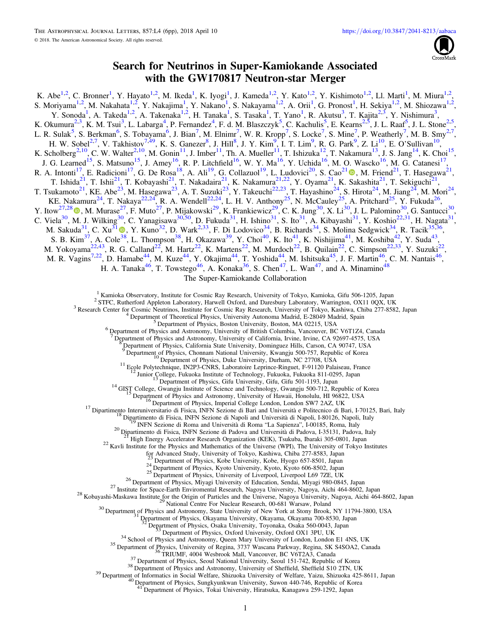

# Search for Neutrinos in Super-Kamiokande Associated with the GW170817 Neutron-star Merger

K. Abe<sup>1,2</sup>, C. Bronner<sup>1</sup>, Y. Hayato<sup>1,2</sup>, M. Ikeda<sup>1</sup>, K. Iyogi<sup>1</sup>, J. Kameda<sup>1,2</sup>, Y. Kato<sup>1,2</sup>, Y. Kishimoto<sup>1,2</sup>, Ll. Marti<sup>1</sup>, M. Miura<sup>1,2</sup>, S. Moriyama<sup>1,2</sup>, M. Nakahata<sup>1,2</sup>, Y. Nakajima<sup>1</sup>, Y. Nakano<sup>1</sup>, S. Nakayama<sup>1,2</sup>, A. Orii<sup>1</sup>, G. Pronost<sup>1</sup>, H. Sekiya<sup>1,2</sup>, M. Shiozawa<sup>1,2</sup>, Y. Sonoda<sup>1</sup>, A. Takeda<sup>1,2</sup>, A. Takenaka<sup>1,2</sup>, H. Tanaka<sup>1</sup>, S. Tasaka<sup>1</sup>, T. Yano<sup>1</sup>, R. Akutsu<sup>3</sup>, T. Kajita<sup>2,3</sup>, Y. Nishimura<sup>3</sup>, K. Okumura<sup>2,3</sup>, K. M. Tsui<sup>3</sup>, L. Labarga<sup>4</sup>, P. Fernandez<sup>4</sup>, F. d. M. Blaszczyk<sup>5</sup>, C. Kachulis<sup>5</sup>, E. Kearns<sup>2,5</sup>, J. L. Raaf<sup>5</sup>, J. L. Stone<sup>2,5</sup> , L. R. Sulak<sup>5</sup>, S. Berkman<sup>6</sup>, S. Tobayama<sup>6</sup>, J. Bian<sup>7</sup>, M. Elnimr<sup>7</sup>, W. R. Kropp<sup>7</sup>, S. Locke<sup>7</sup>, S. Mine<sup>7</sup>, P. Weatherly<sup>7</sup>, M. B. Smy<sup>2,7</sup>, H. W. Sobel<sup>2,7</sup>, V. Takhistov<sup>7,49</sup>, K. S. Ganezer<sup>8</sup>, J. Hill<sup>8</sup>, J. Y. Kim<sup>9</sup>, I. T. Lim<sup>9</sup>, R. G. Park<sup>9</sup>, Z. Li<sup>10</sup>, E. O'Sullivan<sup>10</sup>, K. Scholberg<sup>2,10</sup>, C. W. Walter<sup>2,10</sup>, M. Gonin<sup>11</sup>, J. Imber<sup>11</sup>, Th. A. Mueller<sup>11</sup>, T. Ishizuka<sup>12</sup>, T. Nakamura<sup>13</sup>, J. S. Jang<sup>14</sup>, K. Choi<sup>15</sup>, J. G. Learned<sup>15</sup>, S. Matsuno<sup>15</sup>, J. Amey<sup>16</sup>, R. P. Litchfield<sup>16</sup>, W. Y. Ma<sup>16</sup>, Y. Uchida<sup>16</sup>, M. O. Wascko<sup>16</sup>, M. G. Catanesi<sup>17</sup>, R. A. Intonti<sup>[1](https://orcid.org/0000-0002-8870-981X)7</sup>, E. Radicioni<sup>17</sup>, G. De Rosa<sup>18</sup>, A. Ali<sup>19</sup>, G. Collazuol<sup>19</sup>, L. Ludovici<sup>20</sup>, S. Cao<sup>21</sup> ., M. Friend<sup>21</sup>, T. Hasegawa<sup>21</sup>, T. Ishida<sup>21</sup>, T. Ishii<sup>21</sup>, T. Kobayashi<sup>21</sup>, T. Nakadaira<sup>21</sup>, K. Nakamura<sup>21,22</sup>, Y. Oyama<sup>21</sup>, K. Sakashita<sup>21</sup>, T. Sekiguchi<sup>21</sup>, T. Tsukamoto<sup>21</sup>, KE. Abe<sup>23</sup>, M. Hasegawa<sup>23</sup>, A. T. Suzuki<sup>23</sup>, Y. Takeuchi<sup>22,23</sup>, T. Hayashino<sup>24</sup>, S. Hirota<sup>24</sup>, M. Jiang<sup>24</sup>, M. Mori<sup>24</sup>, KE. Nakamura<sup>24</sup>, T. Nakaya<sup>22,24</sup>, R. A. Wendell<sup>22,24</sup>, L. H. V. Anthony<sup>25</sup>, N. McCauley<sup>25</sup>, A. Pritchard<sup>25</sup>, Y. Fukuda<sup>26</sup>, Y. Itow<sup>27[,](https://orcid.org/0000-0002-8198-1968)28</sup>  $\Phi$ , M. Murase<sup>27</sup>, F. Muto<sup>27</sup>, P. Mijakowski<sup>29</sup>, K. Frankiewicz<sup>29</sup>, C. K. Jung<sup>30</sup>, X. Li<sup>30</sup>, J. L. Palomino<sup>30</sup>, G. Santucci<sup>30</sup>, C. Viela<sup>30</sup>, M. J. Wilking<sup>30</sup>, C. Yanagisawa<sup>30[,50](#page-1-0)</sup>, D. Fukuda<sup>31</sup>, H. Ishino<sup>31</sup>, S. Ito<sup>31</sup>, A. Kibayashi<sup>31</sup>, Y. Koshio<sup>22,31</sup>, H. Nagata<sup>31</sup>, M. Sakuda<sup>3[1](https://orcid.org/0000-0002-4968-2466)</sup>, C. Xu<sup>31</sup> (0), Y. Kuno<sup>32</sup>, D. Wark<sup>2,33</sup>, F. Di Lodovico<sup>34</sup>, B. Richards<sup>34</sup>, S. Molina Sedgwick<sup>34</sup>, R. Tacik<sup>35,36</sup>, S. B. Kim<sup>37</sup>, A. Cole<sup>[38](https://orcid.org/0000-0002-4968-2466)</sup>, L. Thompson<sup>38</sup>, H. Okazawa<sup>39</sup>, Y. Choi<sup>40</sup>, K. Ito<sup>41</sup>, K. Nishijima<sup>41</sup>, M. Koshiba<sup>[42](#page-1-0)</sup>, Y. Suda<sup>43</sup>, M. Yokoyama<sup>22,43</sup>, R. G. Calland<sup>22</sup>, M. Hartz<sup>22</sup>, K. Martens<sup>22</sup>, M. Murdoch<sup>22</sup>, B. Quilain<sup>22</sup>, C. Simpson<sup>22,33</sup>, Y. Suzuki<sup>22</sup>, M. R. Vagins<sup>7,22</sup>, D. Hamabe<sup>[44](#page-1-0)</sup>, M. Kuze<sup>44</sup>, Y. Okajima<sup>44</sup>, T. Yoshida<sup>44</sup>, M. Ishitsuka<sup>45</sup>, J. F. Martin<sup>46</sup>, C. M. Nantais<sup>46</sup>, H. A. Tanaka<sup>46</sup>, T. Towstego<sup>46</sup>, A. Konaka<sup>36</sup>, S. Chen<sup>[47](#page-1-0)</sup>, L. Wan<sup>47</sup>, and A. Minamino<sup>48</sup>

The Super-Kamiokande Collaboration

<sup>1</sup> Kamioka Observatory, Institute for Cosmic Ray Research, University of Tokyo, Kamioka, Gifu 506-1205, Japan<sup>2</sup> STFC, Rutherford Appleton Laboratory, Harwell Oxford, and Daresbury Laboratory, Warrington, OX11 0QX, UK<br><sup>3</sup>

7 Department of Physics and Astronomy, University of California, Irvine, Irvine, CA 92697-4575, USA 8 Department of Physics, California State University, Dominguez Hills, Carson, CA 90747, USA

Popartment of Physics, Chonnam National University, Kwangju 500-757, Republic of Korea<br>
<sup>10</sup> Department of Physics, Duke University, Kwangju 500-757, Republic of Korea<br>
<sup>11</sup> Ecole Polytechnique, IN2P3-CNRS, Laboratoire Lep

<sup>11</sup> Ecole Polytechnique, IN2P3-CNRS, Laboratoire Leprince-Ringuet, F-91120 Palaiseau, France<br><sup>12</sup> Junior College, Fukuoka Institute of Technology, Fukuoka, Fukuoka 811-0295, Japan<br><sup>13</sup> Department of Physics, Gifu Univers

<sup>21</sup> High Energy Accelerator Research Organization (KEK), Tsukuba, Ibaraki 305-0801, Japan  $^{22}$  Kavli Institute for the Physics and Mathematics of the Universe (WPI), The University of Tokyo Institutes

for Advanced Study, University of Tokyo, Kashiwa, Chiba 277-8583, Japan<sup>23</sup> Department of Physics, Kobe University, Kobe, Hyogo 657-8501, Japan

- 
- 
- 

28<br>
28 Department of Physics, Kyoto University, Kyoto, Kyoto 606-8502, Japan<br>
26 Department of Physics, University of Liverpool L69 7ZE, UK<br>
26 Department of Physics, Miversity of Education, Sendai, Miyagi 980-0845, Japan<br>

<sup>33</sup> Department of Physics, Oxford University, Oxford OX1 3PU, UK<br><sup>34</sup> School of Physics and Astronomy, Queen Mary University of London, London E1 4NS, UK<br><sup>35</sup> Department of Physics, University of Regina, 3737 Wascana Par

<sup>1</sup>Department of Physics, Tokai University, Hiratsuka, Kanagawa 259-1292, Japan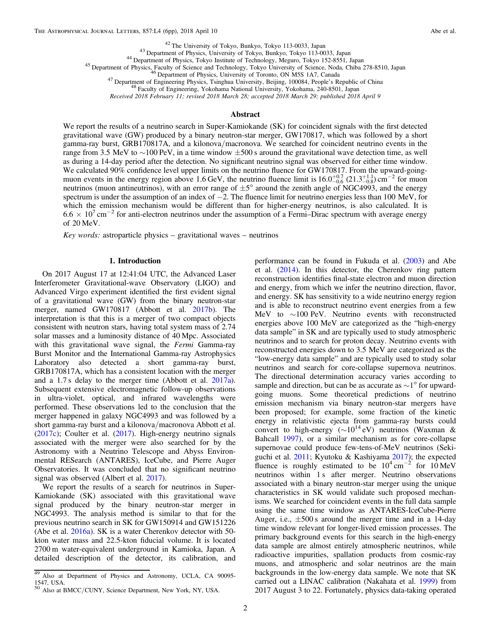<span id="page-1-0"></span><sup>42</sup> The University of Tokyo, Bunkyo, Tokyo 113-0033, Japan<br><sup>43</sup> Department of Physics, University of Tokyo, Bunkyo, Tokyo 113-0033, Japan<br><sup>44</sup> Department of Physics, Tokyo Institute of Technology, Meguro, Tokyo 152-8551,

Received 2018 February 11; revised 2018 March 28; accepted 2018 March 29; published 2018 April 9

### Abstract

We report the results of a neutrino search in Super-Kamiokande (SK) for coincident signals with the first detected gravitational wave (GW) produced by a binary neutron-star merger, GW170817, which was followed by a short gamma-ray burst, GRB170817A, and a kilonova/macronova. We searched for coincident neutrino events in the range from 3.5 MeV to ∼100 PeV, in a time window ±500 s around the gravitational wave detection time, as well as during a 14-day period after the detection. No significant neutrino signal was observed for either time window. We calculated 90% confidence level upper limits on the neutrino fluence for GW170817. From the upward-goingmuon events in the energy region above 1.6 GeV, the neutrino fluence limit is  $16.0^{+0.7}_{-0.6}$   $(21.3^{+1.1}_{-0.8})$  cm<sup>-2</sup> for muon neutrinos (muon antineutrinos), with an error range of  $\pm 5^{\circ}$  around the zenith angle of NGC4993, and the energy spectrum is under the assumption of an index of −2. The fluence limit for neutrino energies less than 100 MeV, for which the emission mechanism would be different than for higher-energy neutrinos, is also calculated. It is  $6.6 \times 10^{7}$  cm<sup>-2</sup> for anti-electron neutrinos under the assumption of a Fermi–Dirac spectrum with average energy of 20 MeV.

Key words: astroparticle physics – gravitational waves – neutrinos

# 1. Introduction

On 2017 August 17 at 12:41:04 UTC, the Advanced Laser Interferometer Gravitational-wave Observatory (LIGO) and Advanced Virgo experiment identified the first evident signal of a gravitational wave (GW) from the binary neutron-star merger, named GW170817 (Abbott et al. [2017b](#page-4-0)). The interpretation is that this is a merger of two compact objects consistent with neutron stars, having total system mass of 2.74 solar masses and a luminosity distance of 40 Mpc. Associated with this gravitational wave signal, the Fermi Gamma-ray Burst Monitor and the International Gamma-ray Astrophysics Laboratory also detected a short gamma-ray burst, GRB170817A, which has a consistent location with the merger and a 1.7 s delay to the merger time (Abbott et al. [2017a](#page-4-0)). Subsequent extensive electromagnetic follow-up observations in ultra-violet, optical, and infrared wavelengths were performed. These observations led to the conclusion that the merger happened in galaxy NGC4993 and was followed by a short gamma-ray burst and a kilonova/macronova Abbott et al. ([2017c](#page-4-0)); Coulter et al. ([2017](#page-5-0)). High-energy neutrino signals associated with the merger were also searched for by the Astronomy with a Neutrino Telescope and Abyss Environmental RESearch (ANTARES), IceCube, and Pierre Auger Observatories. It was concluded that no significant neutrino signal was observed (Albert et al. [2017](#page-5-0)).

We report the results of a search for neutrinos in Super-Kamiokande (SK) associated with this gravitational wave signal produced by the binary neutron-star merger in NGC4993. The analysis method is similar to that for the previous neutrino search in SK for GW150914 and GW151226 (Abe et al. [2016a](#page-4-0)). SK is a water Cherenkov detector with 50 kton water mass and 22.5-kton fiducial volume. It is located 2700 m water-equivalent underground in Kamioka, Japan. A detailed description of the detector, its calibration, and

performance can be found in Fukuda et al. ([2003](#page-5-0)) and Abe et al. ([2014](#page-5-0)). In this detector, the Cherenkov ring pattern reconstruction identifies final-state electron and muon direction and energy, from which we infer the neutrino direction, flavor, and energy. SK has sensitivity to a wide neutrino energy region and is able to reconstruct neutrino event energies from a few MeV to ∼100 PeV. Neutrino events with reconstructed energies above 100 MeV are categorized as the "high-energy data sample" in SK and are typically used to study atmospheric neutrinos and to search for proton decay. Neutrino events with reconstructed energies down to 3.5 MeV are categorized as the "low-energy data sample" and are typically used to study solar neutrinos and search for core-collapse supernova neutrinos. The directional determination accuracy varies according to sample and direction, but can be as accurate as  $\sim$ 1° for upwardgoing muons. Some theoretical predictions of neutrino emission mechanism via binary neutron-star mergers have been proposed; for example, some fraction of the kinetic energy in relativistic ejecta from gamma-ray bursts could convert to high-energy ( $\sim 10^{14}$  eV) neutrinos (Waxman & Bahcall [1997](#page-5-0)), or a similar mechanism as for core-collapse supernovae could produce few-tens-of-MeV neutrinos (Sekiguchi et al. [2011](#page-5-0); Kyutoku & Kashiyama [2017](#page-5-0)); the expected fluence is roughly estimated to be  $10^4 \text{ cm}^{-2}$  for  $10 \text{ MeV}$ neutrinos within 1 s after merger. Neutrino observations associated with a binary neutron-star merger using the unique characteristics in SK would validate such proposed mechanisms. We searched for coincident events in the full data sample using the same time window as ANTARES-IceCube-Pierre Auger, i.e.,  $\pm 500$  s around the merger time and in a 14-day time window relevant for longer-lived emission processes. The primary background events for this search in the high-energy data sample are almost entirely atmospheric neutrinos, while radioactive impurities, spallation products from cosmic-ray muons, and atmospheric and solar neutrinos are the main backgrounds in the low-energy data sample. We note that SK carried out a LINAC calibration (Nakahata et al. [1999](#page-5-0)) from 2017 August 3 to 22. Fortunately, physics data-taking operated

<sup>&</sup>lt;sup>49</sup> Also at Department of Physics and Astronomy, UCLA, CA 90095-1547, USA.

<sup>50</sup> Also at BMCC/CUNY, Science Department, New York, NY, USA.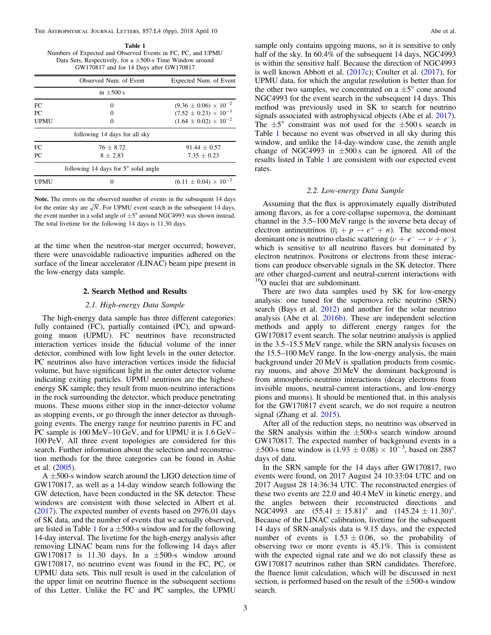Table 1 Numbers of Expected and Observed Events in FC, PC, and UPMU Data Sets, Respectively, for a ±500-s Time Window around GW170817 and for 14 Days after GW170817

|             | Observed Num. of Event                        | Expected Num. of Event           |
|-------------|-----------------------------------------------|----------------------------------|
|             | in $\pm 500$ s                                |                                  |
| FC.         | $\Omega$                                      | $(9.36 \pm 0.06) \times 10^{-2}$ |
| PC.         |                                               | $(7.52 \pm 0.23) \times 10^{-3}$ |
| <b>UPMU</b> |                                               | $(1.64 \pm 0.02) \times 10^{-2}$ |
|             | following 14 days for all sky                 |                                  |
| FC.         | $76 + 8.72$                                   | $91.44 \pm 0.57$                 |
| PC.         | $8 + 2.83$                                    | $7.35 + 0.23$                    |
|             | following 14 days for $5^{\circ}$ solid angle |                                  |
| UPMU        | $\mathbf{0}$                                  | $(6.11 \pm 0.04) \times 10^{-2}$ |

Note. The errors on the observed number of events in the subsequent 14 days for the entire sky are  $\sqrt{N}$ . For UPMU event search in the subsequent 14 days, the event number in a solid angle of  $\pm 5^{\circ}$  around NGC4993 was shown instead. The total livetime for the following 14 days is 11.30 days.

at the time when the neutron-star merger occurred; however, there were unavoidable radioactive impurities adhered on the surface of the linear accelerator (LINAC) beam pipe present in the low-energy data sample.

### 2. Search Method and Results

# 2.1. High-energy Data Sample

The high-energy data sample has three different categories: fully contained (FC), partially contained (PC), and upwardgoing muon (UPMU). FC neutrinos have reconstructed interaction vertices inside the fiducial volume of the inner detector, combined with low light levels in the outer detector. PC neutrinos also have interaction vertices inside the fiducial volume, but have significant light in the outer detector volume indicating exiting particles. UPMU neutrinos are the highestenergy SK sample; they result from muon-neutrino interactions in the rock surrounding the detector, which produce penetrating muons. These muons either stop in the inner-detector volume as stopping events, or go through the inner detector as throughgoing events. The energy range for neutrino parents in FC and PC sample is 100 MeV–10 GeV, and for UPMU it is 1.6 GeV– 100 PeV. All three event topologies are considered for this search. Further information about the selection and reconstruction methods for the three categories can be found in Ashie et al. ([2005](#page-5-0)).

 $A \pm 500$ -s window search around the LIGO detection time of GW170817, as well as a 14-day window search following the GW detection, have been conducted in the SK detector. These windows are consistent with those selected in Albert et al. ([2017](#page-5-0)). The expected number of events based on 2976.01 days of SK data, and the number of events that we actually observed, are listed in Table 1 for a  $\pm$ 500-s window and for the following 14-day interval. The livetime for the high-energy analysis after removing LINAC beam runs for the following 14 days after GW170817 is 11.30 days. In a  $\pm 500$ -s window around GW170817, no neutrino event was found in the FC, PC, or UPMU data sets. This null result is used in the calculation of the upper limit on neutrino fluence in the subsequent sections of this Letter. Unlike the FC and PC samples, the UPMU

sample only contains upgoing muons, so it is sensitive to only half of the sky. In 60.4% of the subsequent 14 days, NGC4993 is within the sensitive half. Because the direction of NGC4993 is well known Abbott et al. ([2017c](#page-4-0)); Coulter et al. ([2017](#page-5-0)), for UPMU data, for which the angular resolution is better than for the other two samples, we concentrated on a  $\pm 5^{\circ}$  cone around NGC4993 for the event search in the subsequent 14 days. This method was previously used in SK to search for neutrino signals associated with astrophysical objects (Abe et al. [2017](#page-4-0)). The  $\pm 5^{\circ}$  constraint was not used for the  $\pm 500$  s search in Table 1 because no event was observed in all sky during this window, and unlike the 14-day-window case, the zenith angle change of NGC4993 in  $\pm 500$  s can be ignored. All of the results listed in Table 1 are consistent with our expected event rates.

## 2.2. Low-energy Data Sample

Assuming that the flux is approximately equally distributed among flavors, as for a core-collapse supernova, the dominant channel in the 3.5–100 MeV range is the inverse beta decay of electron antineutrinos  $(\bar{\nu}_e + p \rightarrow e^+ + n)$ . The second-most dominant one is neutrino elastic scattering ( $\nu + e^- \rightarrow \nu + e^-$ ), which is sensitive to all neutrino flavors but dominated by electron neutrinos. Positrons or electrons from these interactions can produce observable signals in the SK detector. There are other charged-current and neutral-current interactions with <sup>16</sup>O nuclei that are subdominant.

There are two data samples used by SK for low-energy analysis: one tuned for the supernova relic neutrino (SRN) search (Bays et al. [2012](#page-5-0)) and another for the solar neutrino analysis (Abe et al. [2016b](#page-4-0)). These are independent selection methods and apply to different energy ranges for the GW170817 event search. The solar neutrino analysis is applied in the 3.5–15.5 MeV range, while the SRN analysis focuses on the 15.5–100 MeV range. In the low-energy analysis, the main background under 20 MeV is spallation products from cosmicray muons, and above 20 MeV the dominant background is from atmospheric-neutrino interactions (decay electrons from invisible muons, neutral-current interactions, and low-energy pions and muons). It should be mentioned that, in this analysis for the GW170817 event search, we do not require a neutron signal (Zhang et al. [2015](#page-5-0)).

After all of the reduction steps, no neutrino was observed in the SRN analysis within the  $\pm 500$ -s search window around GW170817. The expected number of background events in a  $\pm 500$ -s time window is (1.93  $\pm$  0.08) × 10<sup>-3</sup>, based on 2887 days of data.

In the SRN sample for the 14 days after GW170817, two events were found, on 2017 August 24 10:33:04 UTC and on 2017 August 28 14:36:34 UTC. The reconstructed energies of these two events are 22.0 and 40.4 MeV in kinetic energy, and the angles between their reconstructed directions and NGC4993 are  $(55.41 \pm 15.81)$ ° and  $(145.24 \pm 11.30)$ °. Because of the LINAC calibration, livetime for the subsequent 14 days of SRN-analysis data is 9.15 days, and the expected number of events is  $1.53 \pm 0.06$ , so the probability of observing two or more events is 45.1%. This is consistent with the expected signal rate and we do not classify these as GW170817 neutrinos rather than SRN candidates. Therefore, the fluence limit calculation, which will be discussed in next section, is performed based on the result of the  $\pm 500$ -s window search.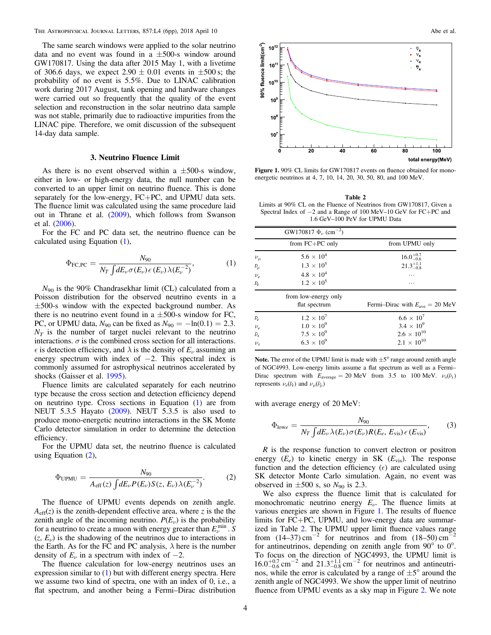<span id="page-3-0"></span>The same search windows were applied to the solar neutrino data and no event was found in a  $\pm 500$ -s window around GW170817. Using the data after 2015 May 1, with a livetime of 306.6 days, we expect  $2.90 \pm 0.01$  events in  $\pm 500$  s; the probability of no event is 5.5%. Due to LINAC calibration work during 2017 August, tank opening and hardware changes were carried out so frequently that the quality of the event selection and reconstruction in the solar neutrino data sample was not stable, primarily due to radioactive impurities from the LINAC pipe. Therefore, we omit discussion of the subsequent 14-day data sample.

#### 3. Neutrino Fluence Limit

As there is no event observed within a  $\pm 500$ -s window, either in low- or high-energy data, the null number can be converted to an upper limit on neutrino fluence. This is done separately for the low-energy, FC+PC, and UPMU data sets. The fluence limit was calculated using the same procedure laid out in Thrane et al. ([2009](#page-5-0)), which follows from Swanson et al. ([2006](#page-5-0)).

For the FC and PC data set, the neutrino fluence can be calculated using Equation (1),

$$
\Phi_{\text{FC,PC}} = \frac{N_{90}}{N_T \int dE_{\nu} \sigma(E_{\nu}) \epsilon(E_{\nu}) \lambda(E_{\nu}^{-2})},\tag{1}
$$

 $N_{90}$  is the 90% Chandrasekhar limit (CL) calculated from a Poisson distribution for the observed neutrino events in a  $\pm$ 500-s window with the expected background number. As there is no neutrino event found in a  $\pm 500$ -s window for FC, PC, or UPMU data,  $N_{90}$  can be fixed as  $N_{90} = -\ln(0.1) = 2.3$ .  $N<sub>T</sub>$  is the number of target nuclei relevant to the neutrino interactions.  $\sigma$  is the combined cross section for all interactions.  $\epsilon$  is detection efficiency, and  $\lambda$  is the density of  $E_{\nu}$  assuming an energy spectrum with index of  $-2$ . This spectral index is commonly assumed for astrophysical neutrinos accelerated by shocks (Gaisser et al. [1995](#page-5-0)).

Fluence limits are calculated separately for each neutrino type because the cross section and detection efficiency depend on neutrino type. Cross sections in Equation (1) are from NEUT 5.3.5 Hayato ([2009](#page-5-0)). NEUT 5.3.5 is also used to produce mono-energetic neutrino interactions in the SK Monte Carlo detector simulation in order to determine the detection efficiency.

For the UPMU data set, the neutrino fluence is calculated using Equation (2),

$$
\Phi_{\text{UPMU}} = \frac{N_{90}}{A_{\text{eff}}(z) \int dE_{\nu} P(E_{\nu}) S(z, E_{\nu}) \lambda(E_{\nu}^{-2})}.
$$
 (2)

The fluence of UPMU events depends on zenith angle.  $A_{\text{eff}}(z)$  is the zenith-dependent effective area, where z is the the zenith angle of the incoming neutrino.  $P(E_{\nu})$  is the probability for a neutrino to create a muon with energy greater than  $E_{\nu}^{\min}$ . S  $(z, E<sub>ν</sub>)$  is the shadowing of the neutrinos due to interactions in the Earth. As for the FC and PC analysis,  $\lambda$  here is the number density of  $E_{\nu}$  in a spectrum with index of  $-2$ .

The fluence calculation for low-energy neutrinos uses an expression similar to (1) but with different energy spectra. Here we assume two kind of spectra, one with an index of 0, i.e., a flat spectrum, and another being a Fermi–Dirac distribution



Figure 1. 90% CL limits for GW170817 events on fluence obtained for monoenergetic neutrinos at 4, 7, 10, 14, 20, 30, 50, 80, and 100 MeV.

Table 2 Limits at 90% CL on the Fluence of Neutrinos from GW170817, Given a Spectral Index of −2 and a Range of 100 MeV–10 GeV for FC+PC and 1.6 GeV–100 PeV for UPMU Data

|                   | GW170817 $\Phi_{\nu}$ (cm <sup>-2</sup> ) |                                                    |
|-------------------|-------------------------------------------|----------------------------------------------------|
|                   | from $FC+PC$ only                         | from UPMU only                                     |
| $\nu_\mu$         | $5.6 \times 10^{4}$                       | $16.0^{+0.7}_{-0.6}$                               |
| $\bar{\nu}_{\mu}$ | $1.3 \times 10^{5}$                       | $21.3^{+1.1}_{-0.8}$                               |
| $\nu_e$           | $4.8 \times 10^{4}$                       | .                                                  |
| $\bar{\nu}_e$     | $1.2 \times 10^{5}$                       | .                                                  |
|                   | from low-energy only                      |                                                    |
|                   | flat spectrum                             | Fermi-Dirac with $E_{\text{ave}} = 20 \text{ MeV}$ |
| $\bar{\nu}_e$     | $1.2 \times 10^{7}$                       | $6.6 \times 10^{7}$                                |
| $\nu_e$           | $1.0 \times 10^{9}$                       | $3.4 \times 10^{9}$                                |
| $\bar{\nu}_x$     | $7.5 \times 10^{9}$                       | $2.6 \times 10^{10}$                               |
| $\nu_{\rm r}$     | $6.3 \times 10^{9}$                       | $2.1 \times 10^{10}$                               |

Note. The error of the UPMU limit is made with  $\pm 5^{\circ}$  range around zenith angle of NGC4993. Low-energy limits assume a flat spectrum as well as a Fermi– Dirac spectrum with  $E_{\text{average}} = 20 \text{ MeV}$  from 3.5 to 100 MeV.  $\nu_x(\bar{\nu}_x)$ represents  $\nu_e(\bar{\nu}_e)$  and  $\nu_\mu(\bar{\nu}_\mu)$ 

with average energy of 20 MeV:

$$
\Phi_{\text{low}e} = \frac{N_{90}}{N_T \int dE_{\nu} \lambda(E_{\nu}) \sigma(E_{\nu}) R(E_e, E_{\text{vis}}) \epsilon(E_{\text{vis}})},\tag{3}
$$

 $R$  is the response function to convert electron or positron energy  $(E_e)$  to kinetic energy in SK  $(E_{vis})$ . The response function and the detection efficiency  $(\epsilon)$  are calculated using SK detector Monte Carlo simulation. Again, no event was observed in  $\pm 500$  s, so  $N_{90}$  is 2.3.

We also express the fluence limit that is calculated for monochromatic neutrino energy  $E_{\nu}$ . The fluence limits at various energies are shown in Figure 1. The results of fluence limits for FC+PC, UPMU, and low-energy data are summarized in Table 2. The UPMU upper limit fluence values range from  $(14-37)$  cm<sup>-2</sup> for neutrinos and from  $(18-50)$  cm<sup>-2</sup> for antineutrinos, depending on zenith angle from 90° to 0°. To focus on the direction of NGC4993, the UPMU limit is  $16.0^{+0.7}_{-0.6}$  cm<sup>-2</sup> and  $21.3^{+1.1}_{-0.8}$  cm<sup>-2</sup> for neutrinos and antineutrinos, while the error is calculated by a range of  $\pm 5^{\circ}$  around the zenith angle of NGC4993. We show the upper limit of neutrino fluence from UPMU events as a sky map in Figure [2](#page-4-0). We note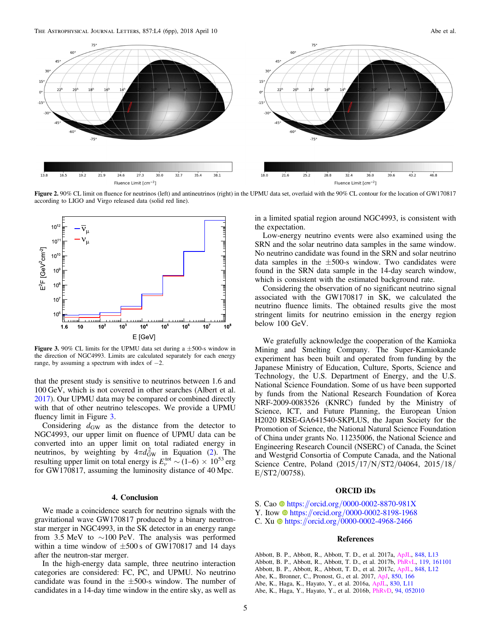<span id="page-4-0"></span>The Astrophysical Journal Letters, 857:L4 (6pp), 2018 April 10 Abe et al.



Figure 2. 90% CL limit on fluence for neutrinos (left) and antineutrinos (right) in the UPMU data set, overlaid with the 90% CL contour for the location of GW170817 according to LIGO and Virgo released data (solid red line).



Figure 3. 90% CL limits for the UPMU data set during a  $\pm$ 500-s window in the direction of NGC4993. Limits are calculated separately for each energy range, by assuming a spectrum with index of  $-2$ .

that the present study is sensitive to neutrinos between 1.6 and 100 GeV, which is not covered in other searches (Albert et al. [2017](#page-5-0)). Our UPMU data may be compared or combined directly with that of other neutrino telescopes. We provide a UPMU fluency limit in Figure 3.

Considering  $d_{\text{GW}}$  as the distance from the detector to NGC4993, our upper limit on fluence of UPMU data can be converted into an upper limit on total radiated energy in neutrinos, by weighting by  $4\pi d_{\text{GW}}^2$  $4\pi d_{\text{GW}}^2$  in Equation (2). resulting upper limit on total energy is  $E_{\nu}^{\text{tot}} \sim (1-6) \times 10^{53}$  erg for GW170817, assuming the luminosity distance of 40 Mpc.

# 4. Conclusion

We made a coincidence search for neutrino signals with the gravitational wave GW170817 produced by a binary neutronstar merger in NGC4993, in the SK detector in an energy range from 3.5 MeV to ∼100 PeV. The analysis was performed within a time window of  $\pm 500$  s of GW170817 and 14 days after the neutron-star merger.

In the high-energy data sample, three neutrino interaction categories are considered: FC, PC, and UPMU. No neutrino candidate was found in the  $\pm 500$ -s window. The number of candidates in a 14-day time window in the entire sky, as well as

in a limited spatial region around NGC4993, is consistent with the expectation.

Low-energy neutrino events were also examined using the SRN and the solar neutrino data samples in the same window. No neutrino candidate was found in the SRN and solar neutrino data samples in the  $\pm 500$ -s window. Two candidates were found in the SRN data sample in the 14-day search window, which is consistent with the estimated background rate.

Considering the observation of no significant neutrino signal associated with the GW170817 in SK, we calculated the neutrino fluence limits. The obtained results give the most stringent limits for neutrino emission in the energy region below 100 GeV.

We gratefully acknowledge the cooperation of the Kamioka Mining and Smelting Company. The Super-Kamiokande experiment has been built and operated from funding by the Japanese Ministry of Education, Culture, Sports, Science and Technology, the U.S. Department of Energy, and the U.S. National Science Foundation. Some of us have been supported by funds from the National Research Foundation of Korea NRF-2009-0083526 (KNRC) funded by the Ministry of Science, ICT, and Future Planning, the European Union H2020 RISE-GA641540-SKPLUS, the Japan Society for the Promotion of Science, the National Natural Science Foundation of China under grants No. 11235006, the National Science and Engineering Research Council (NSERC) of Canada, the Scinet and Westgrid Consortia of Compute Canada, and the National Science Centre, Poland (2015/17/N/ST2/04064, 2015/18/  $E/ST2/00758$ ).

# ORCID iDs

- S. Ca[o](https://orcid.org/0000-0002-8870-981X) [https:](https://orcid.org/0000-0002-8870-981X)//orcid.org/[0000-0002-8870-981X](https://orcid.org/0000-0002-8870-981X)
- Y. Itow **[https:](https://orcid.org/0000-0002-8198-1968)//orcid.org/[0000-0002-8198-1968](https://orcid.org/0000-0002-8198-1968)**
- C. Xu [https:](https://orcid.org/0000-0002-4968-2466)//orcid.org/[0000-0002-4968-2466](https://orcid.org/0000-0002-4968-2466)

#### References

Abbott, B. P., Abbott, R., Abbott, T. D., et al. 2017a, [ApJL,](https://doi.org/10.3847/2041-8213/aa920c) [848, L13](http://adsabs.harvard.edu/abs/2017ApJ...848L..13A) Abbott, B. P., Abbott, R., Abbott, T. D., et al. 2017b, [PhRvL](https://doi.org/10.1103/PhysRevLett.119.161101), [119, 161101](http://adsabs.harvard.edu/abs/2017PhRvL.119p1101A) Abbott, B. P., Abbott, R., Abbott, T. D., et al. 2017c, [ApJL,](https://doi.org/10.3847/2041-8213/aa91c9) [848, L12](http://adsabs.harvard.edu/abs/2017ApJ...848L..12A) Abe, K., Bronner, C., Pronost, G., et al. 2017, [ApJ,](https://doi.org/10.3847/1538-4357/aa951b) [850, 166](http://adsabs.harvard.edu/abs/2017ApJ...850..166A) Abe, K., Haga, K., Hayato, Y., et al. 2016a, [ApJL,](https://doi.org/10.3847/2041-8205/830/1/L11) [830, L11](http://adsabs.harvard.edu/abs/2016ApJ...830L..11A) Abe, K., Haga, Y., Hayato, Y., et al. 2016b, [PhRvD](https://doi.org/10.1103/PhysRevD.94.052010), [94, 052010](http://adsabs.harvard.edu/abs/2016PhRvD..94e2010A)